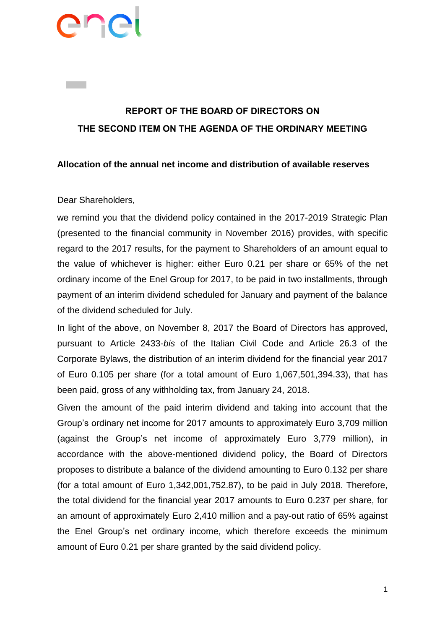# ene

# **REPORT OF THE BOARD OF DIRECTORS ON THE SECOND ITEM ON THE AGENDA OF THE ORDINARY MEETING**

## **Allocation of the annual net income and distribution of available reserves**

## Dear Shareholders,

we remind you that the dividend policy contained in the 2017-2019 Strategic Plan (presented to the financial community in November 2016) provides, with specific regard to the 2017 results, for the payment to Shareholders of an amount equal to the value of whichever is higher: either Euro 0.21 per share or 65% of the net ordinary income of the Enel Group for 2017, to be paid in two installments, through payment of an interim dividend scheduled for January and payment of the balance of the dividend scheduled for July.

In light of the above, on November 8, 2017 the Board of Directors has approved, pursuant to Article 2433-*bis* of the Italian Civil Code and Article 26.3 of the Corporate Bylaws, the distribution of an interim dividend for the financial year 2017 of Euro 0.105 per share (for a total amount of Euro 1,067,501,394.33), that has been paid, gross of any withholding tax, from January 24, 2018.

Given the amount of the paid interim dividend and taking into account that the Group's ordinary net income for 2017 amounts to approximately Euro 3,709 million (against the Group's net income of approximately Euro 3,779 million), in accordance with the above-mentioned dividend policy, the Board of Directors proposes to distribute a balance of the dividend amounting to Euro 0.132 per share (for a total amount of Euro 1,342,001,752.87), to be paid in July 2018. Therefore, the total dividend for the financial year 2017 amounts to Euro 0.237 per share, for an amount of approximately Euro 2,410 million and a pay-out ratio of 65% against the Enel Group's net ordinary income, which therefore exceeds the minimum amount of Euro 0.21 per share granted by the said dividend policy.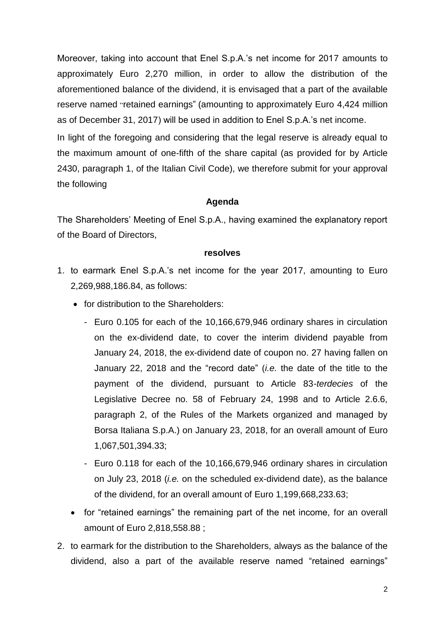Moreover, taking into account that Enel S.p.A.'s net income for 2017 amounts to approximately Euro 2,270 million, in order to allow the distribution of the aforementioned balance of the dividend, it is envisaged that a part of the available reserve named "retained earnings" (amounting to approximately Euro 4,424 million as of December 31, 2017) will be used in addition to Enel S.p.A.'s net income.

In light of the foregoing and considering that the legal reserve is already equal to the maximum amount of one-fifth of the share capital (as provided for by Article 2430, paragraph 1, of the Italian Civil Code), we therefore submit for your approval the following

#### **Agenda**

The Shareholders' Meeting of Enel S.p.A., having examined the explanatory report of the Board of Directors,

#### **resolves**

- 1. to earmark Enel S.p.A.'s net income for the year 2017, amounting to Euro 2,269,988,186.84, as follows:
	- for distribution to the Shareholders:
		- Euro 0.105 for each of the 10,166,679,946 ordinary shares in circulation on the ex-dividend date, to cover the interim dividend payable from January 24, 2018, the ex-dividend date of coupon no. 27 having fallen on January 22, 2018 and the "record date" (*i.e.* the date of the title to the payment of the dividend, pursuant to Article 83-*terdecies* of the Legislative Decree no. 58 of February 24, 1998 and to Article 2.6.6, paragraph 2, of the Rules of the Markets organized and managed by Borsa Italiana S.p.A.) on January 23, 2018, for an overall amount of Euro 1,067,501,394.33;
		- Euro 0.118 for each of the 10,166,679,946 ordinary shares in circulation on July 23, 2018 (*i.e.* on the scheduled ex-dividend date), as the balance of the dividend, for an overall amount of Euro 1,199,668,233.63;
	- for "retained earnings" the remaining part of the net income, for an overall amount of Euro 2,818,558.88 ;
- 2. to earmark for the distribution to the Shareholders, always as the balance of the dividend, also a part of the available reserve named "retained earnings"